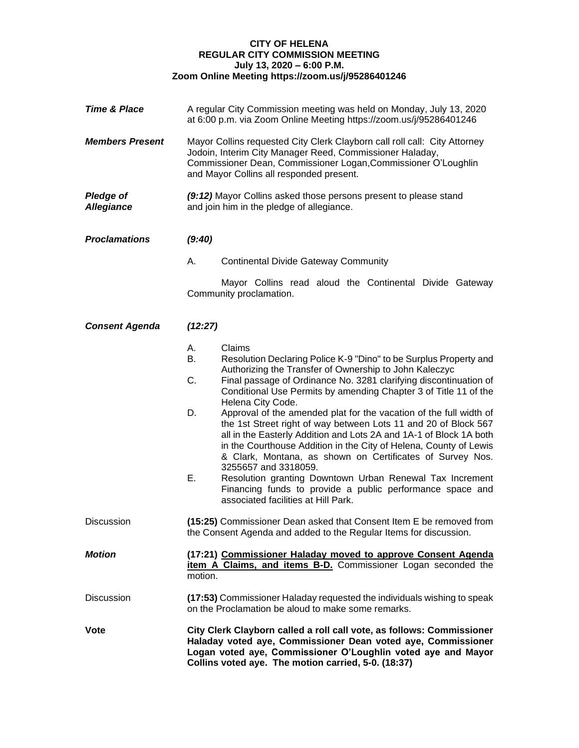## **CITY OF HELENA REGULAR CITY COMMISSION MEETING July 13, 2020 – 6:00 P.M. Zoom Online Meeting https://zoom.us/j/95286401246**

| <b>Time &amp; Place</b>               | A regular City Commission meeting was held on Monday, July 13, 2020<br>at 6:00 p.m. via Zoom Online Meeting https://zoom.us/j/95286401246                                                                                                                                                                                                                                                                                                                                                                                                                                                                                                                                                                                                                                                                                                                                  |
|---------------------------------------|----------------------------------------------------------------------------------------------------------------------------------------------------------------------------------------------------------------------------------------------------------------------------------------------------------------------------------------------------------------------------------------------------------------------------------------------------------------------------------------------------------------------------------------------------------------------------------------------------------------------------------------------------------------------------------------------------------------------------------------------------------------------------------------------------------------------------------------------------------------------------|
| <b>Members Present</b>                | Mayor Collins requested City Clerk Clayborn call roll call: City Attorney<br>Jodoin, Interim City Manager Reed, Commissioner Haladay,<br>Commissioner Dean, Commissioner Logan, Commissioner O'Loughlin<br>and Mayor Collins all responded present.                                                                                                                                                                                                                                                                                                                                                                                                                                                                                                                                                                                                                        |
| <b>Pledge of</b><br><b>Allegiance</b> | (9:12) Mayor Collins asked those persons present to please stand<br>and join him in the pledge of allegiance.                                                                                                                                                                                                                                                                                                                                                                                                                                                                                                                                                                                                                                                                                                                                                              |
| <b>Proclamations</b>                  | (9:40)                                                                                                                                                                                                                                                                                                                                                                                                                                                                                                                                                                                                                                                                                                                                                                                                                                                                     |
|                                       | А.<br><b>Continental Divide Gateway Community</b>                                                                                                                                                                                                                                                                                                                                                                                                                                                                                                                                                                                                                                                                                                                                                                                                                          |
|                                       | Mayor Collins read aloud the Continental Divide Gateway<br>Community proclamation.                                                                                                                                                                                                                                                                                                                                                                                                                                                                                                                                                                                                                                                                                                                                                                                         |
| <b>Consent Agenda</b>                 | (12:27)                                                                                                                                                                                                                                                                                                                                                                                                                                                                                                                                                                                                                                                                                                                                                                                                                                                                    |
|                                       | А.<br>Claims<br>В.<br>Resolution Declaring Police K-9 "Dino" to be Surplus Property and<br>Authorizing the Transfer of Ownership to John Kaleczyc<br>Final passage of Ordinance No. 3281 clarifying discontinuation of<br>C.<br>Conditional Use Permits by amending Chapter 3 of Title 11 of the<br>Helena City Code.<br>Approval of the amended plat for the vacation of the full width of<br>D.<br>the 1st Street right of way between Lots 11 and 20 of Block 567<br>all in the Easterly Addition and Lots 2A and 1A-1 of Block 1A both<br>in the Courthouse Addition in the City of Helena, County of Lewis<br>& Clark, Montana, as shown on Certificates of Survey Nos.<br>3255657 and 3318059.<br>Е.<br>Resolution granting Downtown Urban Renewal Tax Increment<br>Financing funds to provide a public performance space and<br>associated facilities at Hill Park. |
| <b>Discussion</b>                     | (15:25) Commissioner Dean asked that Consent Item E be removed from<br>the Consent Agenda and added to the Regular Items for discussion.                                                                                                                                                                                                                                                                                                                                                                                                                                                                                                                                                                                                                                                                                                                                   |
| <b>Motion</b>                         | (17:21) Commissioner Haladay moved to approve Consent Agenda<br>item A Claims, and items B-D. Commissioner Logan seconded the<br>motion.                                                                                                                                                                                                                                                                                                                                                                                                                                                                                                                                                                                                                                                                                                                                   |
| <b>Discussion</b>                     | (17:53) Commissioner Haladay requested the individuals wishing to speak<br>on the Proclamation be aloud to make some remarks.                                                                                                                                                                                                                                                                                                                                                                                                                                                                                                                                                                                                                                                                                                                                              |
| Vote                                  | City Clerk Clayborn called a roll call vote, as follows: Commissioner<br>Haladay voted aye, Commissioner Dean voted aye, Commissioner<br>Logan voted aye, Commissioner O'Loughlin voted aye and Mayor<br>Collins voted aye. The motion carried, 5-0. (18:37)                                                                                                                                                                                                                                                                                                                                                                                                                                                                                                                                                                                                               |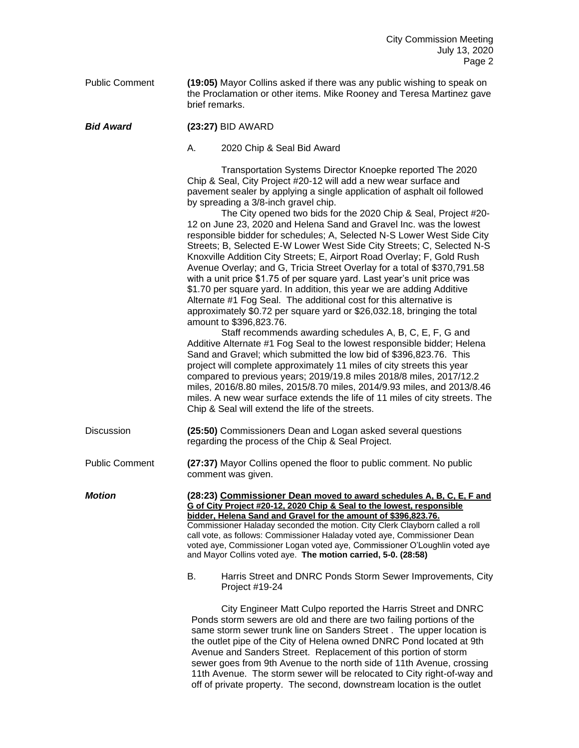Public Comment **(19:05)** Mayor Collins asked if there was any public wishing to speak on the Proclamation or other items. Mike Rooney and Teresa Martinez gave brief remarks.

| Bid Award | (23:27) BID AWARD |
|-----------|-------------------|
|-----------|-------------------|

A. 2020 Chip & Seal Bid Award

Transportation Systems Director Knoepke reported The 2020 Chip & Seal, City Project #20-12 will add a new wear surface and pavement sealer by applying a single application of asphalt oil followed by spreading a 3/8-inch gravel chip.

The City opened two bids for the 2020 Chip & Seal, Project #20- 12 on June 23, 2020 and Helena Sand and Gravel Inc. was the lowest responsible bidder for schedules; A, Selected N-S Lower West Side City Streets; B, Selected E-W Lower West Side City Streets; C, Selected N-S Knoxville Addition City Streets; E, Airport Road Overlay; F, Gold Rush Avenue Overlay; and G, Tricia Street Overlay for a total of \$370,791.58 with a unit price \$1.75 of per square yard. Last year's unit price was \$1.70 per square yard. In addition, this year we are adding Additive Alternate #1 Fog Seal. The additional cost for this alternative is approximately \$0.72 per square yard or \$26,032.18, bringing the total amount to \$396,823.76.

Staff recommends awarding schedules A, B, C, E, F, G and Additive Alternate #1 Fog Seal to the lowest responsible bidder; Helena Sand and Gravel; which submitted the low bid of \$396,823.76. This project will complete approximately 11 miles of city streets this year compared to previous years; 2019/19.8 miles 2018/8 miles, 2017/12.2 miles, 2016/8.80 miles, 2015/8.70 miles, 2014/9.93 miles, and 2013/8.46 miles. A new wear surface extends the life of 11 miles of city streets. The Chip & Seal will extend the life of the streets.

- Discussion **(25:50)** Commissioners Dean and Logan asked several questions regarding the process of the Chip & Seal Project.
- Public Comment **(27:37)** Mayor Collins opened the floor to public comment. No public comment was given.

*Motion* **(28:23) Commissioner Dean moved to award schedules A, B, C, E, F and G of City Project #20-12, 2020 Chip & Seal to the lowest, responsible bidder, Helena Sand and Gravel for the amount of \$396,823.76.** Commissioner Haladay seconded the motion. City Clerk Clayborn called a roll call vote, as follows: Commissioner Haladay voted aye, Commissioner Dean voted aye, Commissioner Logan voted aye, Commissioner O'Loughlin voted aye and Mayor Collins voted aye. **The motion carried, 5-0. (28:58)**

> B. Harris Street and DNRC Ponds Storm Sewer Improvements, City Project #19-24

City Engineer Matt Culpo reported the Harris Street and DNRC Ponds storm sewers are old and there are two failing portions of the same storm sewer trunk line on Sanders Street . The upper location is the outlet pipe of the City of Helena owned DNRC Pond located at 9th Avenue and Sanders Street. Replacement of this portion of storm sewer goes from 9th Avenue to the north side of 11th Avenue, crossing 11th Avenue. The storm sewer will be relocated to City right-of-way and off of private property. The second, downstream location is the outlet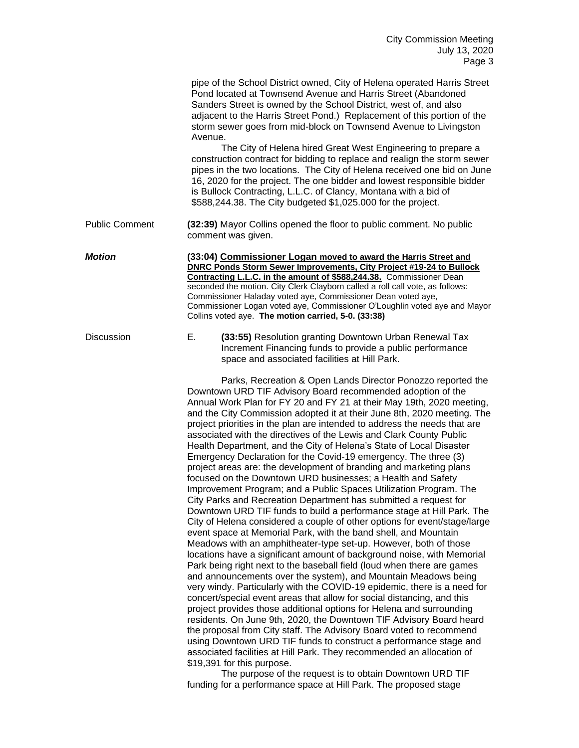pipe of the School District owned, City of Helena operated Harris Street Pond located at Townsend Avenue and Harris Street (Abandoned Sanders Street is owned by the School District, west of, and also adjacent to the Harris Street Pond.) Replacement of this portion of the storm sewer goes from mid-block on Townsend Avenue to Livingston Avenue.

The City of Helena hired Great West Engineering to prepare a construction contract for bidding to replace and realign the storm sewer pipes in the two locations. The City of Helena received one bid on June 16, 2020 for the project. The one bidder and lowest responsible bidder is Bullock Contracting, L.L.C. of Clancy, Montana with a bid of \$588,244.38. The City budgeted \$1,025.000 for the project.

Public Comment **(32:39)** Mayor Collins opened the floor to public comment. No public comment was given.

*Motion* **(33:04) Commissioner Logan moved to award the Harris Street and DNRC Ponds Storm Sewer Improvements, City Project #19-24 to Bullock Contracting L.L.C. in the amount of \$588,244.38.** Commissioner Dean seconded the motion. City Clerk Clayborn called a roll call vote, as follows: Commissioner Haladay voted aye, Commissioner Dean voted aye, Commissioner Logan voted aye, Commissioner O'Loughlin voted aye and Mayor Collins voted aye. **The motion carried, 5-0. (33:38)**

Discussion E. **(33:55)** Resolution granting Downtown Urban Renewal Tax Increment Financing funds to provide a public performance space and associated facilities at Hill Park.

> Parks, Recreation & Open Lands Director Ponozzo reported the Downtown URD TIF Advisory Board recommended adoption of the Annual Work Plan for FY 20 and FY 21 at their May 19th, 2020 meeting, and the City Commission adopted it at their June 8th, 2020 meeting. The project priorities in the plan are intended to address the needs that are associated with the directives of the Lewis and Clark County Public Health Department, and the City of Helena's State of Local Disaster Emergency Declaration for the Covid-19 emergency. The three (3) project areas are: the development of branding and marketing plans focused on the Downtown URD businesses; a Health and Safety Improvement Program; and a Public Spaces Utilization Program. The City Parks and Recreation Department has submitted a request for Downtown URD TIF funds to build a performance stage at Hill Park. The City of Helena considered a couple of other options for event/stage/large event space at Memorial Park, with the band shell, and Mountain Meadows with an amphitheater-type set-up. However, both of those locations have a significant amount of background noise, with Memorial Park being right next to the baseball field (loud when there are games and announcements over the system), and Mountain Meadows being very windy. Particularly with the COVID-19 epidemic, there is a need for concert/special event areas that allow for social distancing, and this project provides those additional options for Helena and surrounding residents. On June 9th, 2020, the Downtown TIF Advisory Board heard the proposal from City staff. The Advisory Board voted to recommend using Downtown URD TIF funds to construct a performance stage and associated facilities at Hill Park. They recommended an allocation of \$19,391 for this purpose.

The purpose of the request is to obtain Downtown URD TIF funding for a performance space at Hill Park. The proposed stage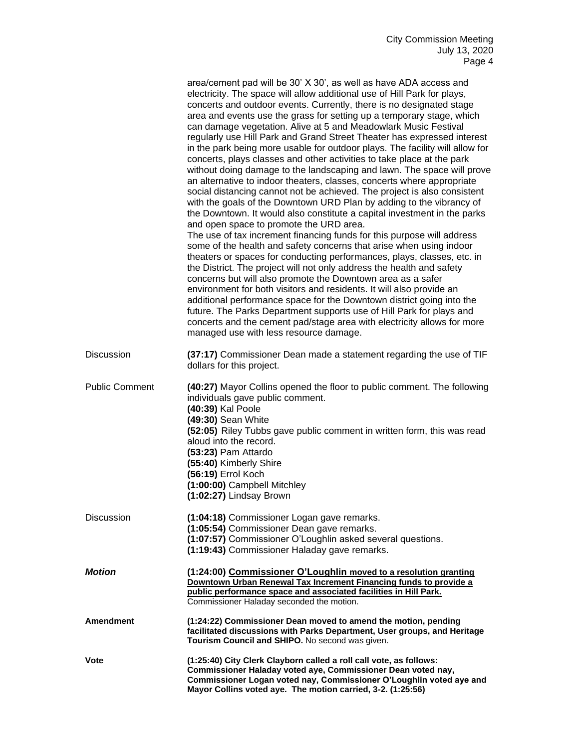|                       | area/cement pad will be 30' X 30', as well as have ADA access and<br>electricity. The space will allow additional use of Hill Park for plays,<br>concerts and outdoor events. Currently, there is no designated stage<br>area and events use the grass for setting up a temporary stage, which<br>can damage vegetation. Alive at 5 and Meadowlark Music Festival<br>regularly use Hill Park and Grand Street Theater has expressed interest<br>in the park being more usable for outdoor plays. The facility will allow for<br>concerts, plays classes and other activities to take place at the park<br>without doing damage to the landscaping and lawn. The space will prove<br>an alternative to indoor theaters, classes, concerts where appropriate<br>social distancing cannot not be achieved. The project is also consistent<br>with the goals of the Downtown URD Plan by adding to the vibrancy of<br>the Downtown. It would also constitute a capital investment in the parks<br>and open space to promote the URD area.<br>The use of tax increment financing funds for this purpose will address<br>some of the health and safety concerns that arise when using indoor<br>theaters or spaces for conducting performances, plays, classes, etc. in<br>the District. The project will not only address the health and safety<br>concerns but will also promote the Downtown area as a safer<br>environment for both visitors and residents. It will also provide an<br>additional performance space for the Downtown district going into the<br>future. The Parks Department supports use of Hill Park for plays and<br>concerts and the cement pad/stage area with electricity allows for more<br>managed use with less resource damage. |
|-----------------------|---------------------------------------------------------------------------------------------------------------------------------------------------------------------------------------------------------------------------------------------------------------------------------------------------------------------------------------------------------------------------------------------------------------------------------------------------------------------------------------------------------------------------------------------------------------------------------------------------------------------------------------------------------------------------------------------------------------------------------------------------------------------------------------------------------------------------------------------------------------------------------------------------------------------------------------------------------------------------------------------------------------------------------------------------------------------------------------------------------------------------------------------------------------------------------------------------------------------------------------------------------------------------------------------------------------------------------------------------------------------------------------------------------------------------------------------------------------------------------------------------------------------------------------------------------------------------------------------------------------------------------------------------------------------------------------------------------------------------------------------------------|
| Discussion            | (37:17) Commissioner Dean made a statement regarding the use of TIF<br>dollars for this project.                                                                                                                                                                                                                                                                                                                                                                                                                                                                                                                                                                                                                                                                                                                                                                                                                                                                                                                                                                                                                                                                                                                                                                                                                                                                                                                                                                                                                                                                                                                                                                                                                                                        |
| <b>Public Comment</b> | (40:27) Mayor Collins opened the floor to public comment. The following<br>individuals gave public comment.<br>(40:39) Kal Poole<br>(49:30) Sean White<br>(52:05) Riley Tubbs gave public comment in written form, this was read<br>aloud into the record.<br>(53:23) Pam Attardo<br>(55:40) Kimberly Shire<br>(56:19) Errol Koch<br>(1:00:00) Campbell Mitchley<br>(1:02:27) Lindsay Brown                                                                                                                                                                                                                                                                                                                                                                                                                                                                                                                                                                                                                                                                                                                                                                                                                                                                                                                                                                                                                                                                                                                                                                                                                                                                                                                                                             |
| <b>Discussion</b>     | (1:04:18) Commissioner Logan gave remarks.<br>(1:05:54) Commissioner Dean gave remarks.<br>(1:07:57) Commissioner O'Loughlin asked several questions.<br>(1:19:43) Commissioner Haladay gave remarks.                                                                                                                                                                                                                                                                                                                                                                                                                                                                                                                                                                                                                                                                                                                                                                                                                                                                                                                                                                                                                                                                                                                                                                                                                                                                                                                                                                                                                                                                                                                                                   |
| <b>Motion</b>         | (1:24:00) Commissioner O'Loughlin moved to a resolution granting<br>Downtown Urban Renewal Tax Increment Financing funds to provide a<br>public performance space and associated facilities in Hill Park.<br>Commissioner Haladay seconded the motion.                                                                                                                                                                                                                                                                                                                                                                                                                                                                                                                                                                                                                                                                                                                                                                                                                                                                                                                                                                                                                                                                                                                                                                                                                                                                                                                                                                                                                                                                                                  |
| <b>Amendment</b>      | (1:24:22) Commissioner Dean moved to amend the motion, pending<br>facilitated discussions with Parks Department, User groups, and Heritage<br>Tourism Council and SHIPO. No second was given.                                                                                                                                                                                                                                                                                                                                                                                                                                                                                                                                                                                                                                                                                                                                                                                                                                                                                                                                                                                                                                                                                                                                                                                                                                                                                                                                                                                                                                                                                                                                                           |
| Vote                  | (1:25:40) City Clerk Clayborn called a roll call vote, as follows:<br>Commissioner Haladay voted aye, Commissioner Dean voted nay,<br>Commissioner Logan voted nay, Commissioner O'Loughlin voted aye and<br>Mayor Collins voted aye. The motion carried, 3-2. (1:25:56)                                                                                                                                                                                                                                                                                                                                                                                                                                                                                                                                                                                                                                                                                                                                                                                                                                                                                                                                                                                                                                                                                                                                                                                                                                                                                                                                                                                                                                                                                |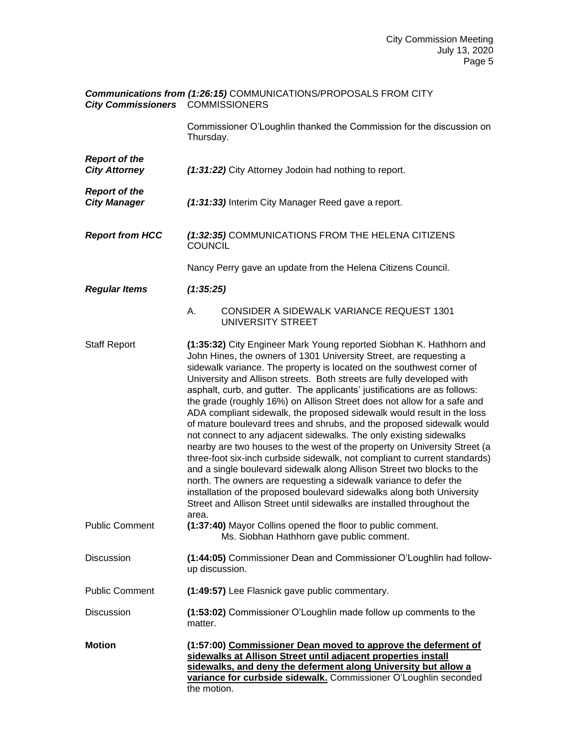| City Commissioners COMMISSIONERS             | Communications from (1:26:15) COMMUNICATIONS/PROPOSALS FROM CITY                                                                                                                                                                                                                                                                                                                                                                                                                                                                                                                                                                                                                                                                                                                                                                                                                                                                                                                                                                                                                                                                                    |
|----------------------------------------------|-----------------------------------------------------------------------------------------------------------------------------------------------------------------------------------------------------------------------------------------------------------------------------------------------------------------------------------------------------------------------------------------------------------------------------------------------------------------------------------------------------------------------------------------------------------------------------------------------------------------------------------------------------------------------------------------------------------------------------------------------------------------------------------------------------------------------------------------------------------------------------------------------------------------------------------------------------------------------------------------------------------------------------------------------------------------------------------------------------------------------------------------------------|
|                                              | Commissioner O'Loughlin thanked the Commission for the discussion on<br>Thursday.                                                                                                                                                                                                                                                                                                                                                                                                                                                                                                                                                                                                                                                                                                                                                                                                                                                                                                                                                                                                                                                                   |
| <b>Report of the</b><br><b>City Attorney</b> | (1:31:22) City Attorney Jodoin had nothing to report.                                                                                                                                                                                                                                                                                                                                                                                                                                                                                                                                                                                                                                                                                                                                                                                                                                                                                                                                                                                                                                                                                               |
| <b>Report of the</b><br><b>City Manager</b>  | (1:31:33) Interim City Manager Reed gave a report.                                                                                                                                                                                                                                                                                                                                                                                                                                                                                                                                                                                                                                                                                                                                                                                                                                                                                                                                                                                                                                                                                                  |
| <b>Report from HCC</b>                       | (1:32:35) COMMUNICATIONS FROM THE HELENA CITIZENS<br><b>COUNCIL</b>                                                                                                                                                                                                                                                                                                                                                                                                                                                                                                                                                                                                                                                                                                                                                                                                                                                                                                                                                                                                                                                                                 |
|                                              | Nancy Perry gave an update from the Helena Citizens Council.                                                                                                                                                                                                                                                                                                                                                                                                                                                                                                                                                                                                                                                                                                                                                                                                                                                                                                                                                                                                                                                                                        |
| <b>Regular Items</b>                         | (1:35:25)                                                                                                                                                                                                                                                                                                                                                                                                                                                                                                                                                                                                                                                                                                                                                                                                                                                                                                                                                                                                                                                                                                                                           |
|                                              | А.<br>CONSIDER A SIDEWALK VARIANCE REQUEST 1301<br>UNIVERSITY STREET                                                                                                                                                                                                                                                                                                                                                                                                                                                                                                                                                                                                                                                                                                                                                                                                                                                                                                                                                                                                                                                                                |
| <b>Staff Report</b>                          | (1:35:32) City Engineer Mark Young reported Siobhan K. Hathhorn and<br>John Hines, the owners of 1301 University Street, are requesting a<br>sidewalk variance. The property is located on the southwest corner of<br>University and Allison streets. Both streets are fully developed with<br>asphalt, curb, and gutter. The applicants' justifications are as follows:<br>the grade (roughly 16%) on Allison Street does not allow for a safe and<br>ADA compliant sidewalk, the proposed sidewalk would result in the loss<br>of mature boulevard trees and shrubs, and the proposed sidewalk would<br>not connect to any adjacent sidewalks. The only existing sidewalks<br>nearby are two houses to the west of the property on University Street (a<br>three-foot six-inch curbside sidewalk, not compliant to current standards)<br>and a single boulevard sidewalk along Allison Street two blocks to the<br>north. The owners are requesting a sidewalk variance to defer the<br>installation of the proposed boulevard sidewalks along both University<br>Street and Allison Street until sidewalks are installed throughout the<br>area. |
| <b>Public Comment</b>                        | (1:37:40) Mayor Collins opened the floor to public comment.<br>Ms. Siobhan Hathhorn gave public comment.                                                                                                                                                                                                                                                                                                                                                                                                                                                                                                                                                                                                                                                                                                                                                                                                                                                                                                                                                                                                                                            |
| <b>Discussion</b>                            | (1:44:05) Commissioner Dean and Commissioner O'Loughlin had follow-<br>up discussion.                                                                                                                                                                                                                                                                                                                                                                                                                                                                                                                                                                                                                                                                                                                                                                                                                                                                                                                                                                                                                                                               |
| <b>Public Comment</b>                        | (1:49:57) Lee Flasnick gave public commentary.                                                                                                                                                                                                                                                                                                                                                                                                                                                                                                                                                                                                                                                                                                                                                                                                                                                                                                                                                                                                                                                                                                      |
| <b>Discussion</b>                            | (1:53:02) Commissioner O'Loughlin made follow up comments to the<br>matter.                                                                                                                                                                                                                                                                                                                                                                                                                                                                                                                                                                                                                                                                                                                                                                                                                                                                                                                                                                                                                                                                         |
| <b>Motion</b>                                | (1:57:00) Commissioner Dean moved to approve the deferment of<br>sidewalks at Allison Street until adjacent properties install<br>sidewalks, and deny the deferment along University but allow a<br>variance for curbside sidewalk. Commissioner O'Loughlin seconded<br>the motion.                                                                                                                                                                                                                                                                                                                                                                                                                                                                                                                                                                                                                                                                                                                                                                                                                                                                 |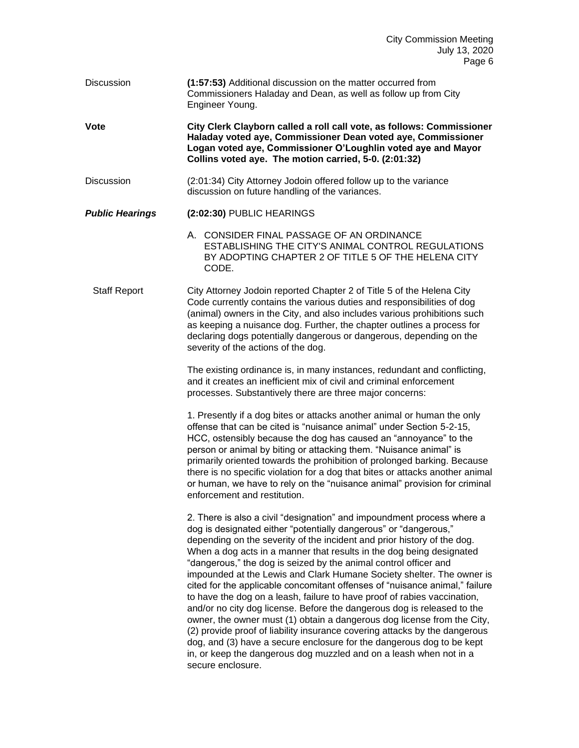Discussion **(1:57:53)** Additional discussion on the matter occurred from Commissioners Haladay and Dean, as well as follow up from City Engineer Young.

**Vote City Clerk Clayborn called a roll call vote, as follows: Commissioner Haladay voted aye, Commissioner Dean voted aye, Commissioner Logan voted aye, Commissioner O'Loughlin voted aye and Mayor Collins voted aye. The motion carried, 5-0. (2:01:32)**

Discussion (2:01:34) City Attorney Jodoin offered follow up to the variance discussion on future handling of the variances.

- *Public Hearings* **(2:02:30)** PUBLIC HEARINGS
	- A. CONSIDER FINAL PASSAGE OF AN ORDINANCE ESTABLISHING THE CITY'S ANIMAL CONTROL REGULATIONS BY ADOPTING CHAPTER 2 OF TITLE 5 OF THE HELENA CITY CODE.

Staff Report City Attorney Jodoin reported Chapter 2 of Title 5 of the Helena City Code currently contains the various duties and responsibilities of dog (animal) owners in the City, and also includes various prohibitions such as keeping a nuisance dog. Further, the chapter outlines a process for declaring dogs potentially dangerous or dangerous, depending on the severity of the actions of the dog.

> The existing ordinance is, in many instances, redundant and conflicting, and it creates an inefficient mix of civil and criminal enforcement processes. Substantively there are three major concerns:

1. Presently if a dog bites or attacks another animal or human the only offense that can be cited is "nuisance animal" under Section 5-2-15, HCC, ostensibly because the dog has caused an "annoyance" to the person or animal by biting or attacking them. "Nuisance animal" is primarily oriented towards the prohibition of prolonged barking. Because there is no specific violation for a dog that bites or attacks another animal or human, we have to rely on the "nuisance animal" provision for criminal enforcement and restitution.

2. There is also a civil "designation" and impoundment process where a dog is designated either "potentially dangerous" or "dangerous," depending on the severity of the incident and prior history of the dog. When a dog acts in a manner that results in the dog being designated "dangerous," the dog is seized by the animal control officer and impounded at the Lewis and Clark Humane Society shelter. The owner is cited for the applicable concomitant offenses of "nuisance animal," failure to have the dog on a leash, failure to have proof of rabies vaccination, and/or no city dog license. Before the dangerous dog is released to the owner, the owner must (1) obtain a dangerous dog license from the City, (2) provide proof of liability insurance covering attacks by the dangerous dog, and (3) have a secure enclosure for the dangerous dog to be kept in, or keep the dangerous dog muzzled and on a leash when not in a secure enclosure.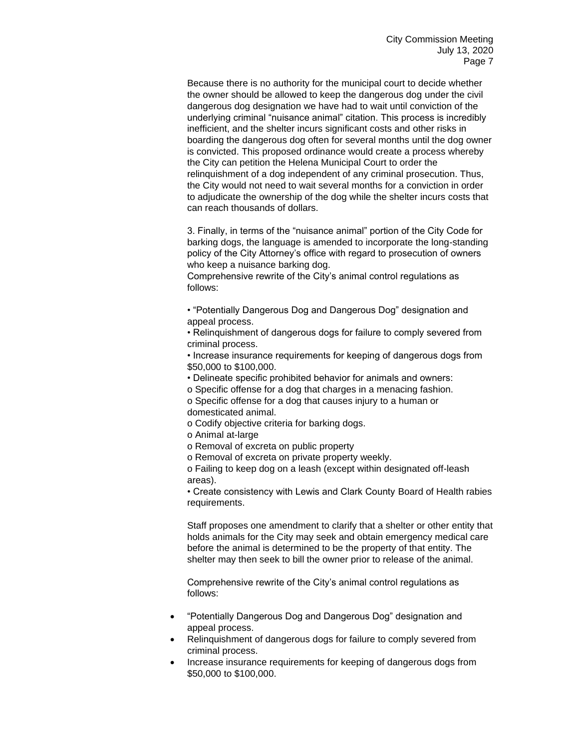Because there is no authority for the municipal court to decide whether the owner should be allowed to keep the dangerous dog under the civil dangerous dog designation we have had to wait until conviction of the underlying criminal "nuisance animal" citation. This process is incredibly inefficient, and the shelter incurs significant costs and other risks in boarding the dangerous dog often for several months until the dog owner is convicted. This proposed ordinance would create a process whereby the City can petition the Helena Municipal Court to order the relinquishment of a dog independent of any criminal prosecution. Thus, the City would not need to wait several months for a conviction in order to adjudicate the ownership of the dog while the shelter incurs costs that can reach thousands of dollars.

3. Finally, in terms of the "nuisance animal" portion of the City Code for barking dogs, the language is amended to incorporate the long-standing policy of the City Attorney's office with regard to prosecution of owners who keep a nuisance barking dog.

Comprehensive rewrite of the City's animal control regulations as follows:

• "Potentially Dangerous Dog and Dangerous Dog" designation and appeal process.

• Relinquishment of dangerous dogs for failure to comply severed from criminal process.

• Increase insurance requirements for keeping of dangerous dogs from \$50,000 to \$100,000.

• Delineate specific prohibited behavior for animals and owners:

o Specific offense for a dog that charges in a menacing fashion. o Specific offense for a dog that causes injury to a human or domesticated animal.

o Codify objective criteria for barking dogs.

o Animal at-large

o Removal of excreta on public property

o Removal of excreta on private property weekly.

o Failing to keep dog on a leash (except within designated off-leash areas).

• Create consistency with Lewis and Clark County Board of Health rabies requirements.

Staff proposes one amendment to clarify that a shelter or other entity that holds animals for the City may seek and obtain emergency medical care before the animal is determined to be the property of that entity. The shelter may then seek to bill the owner prior to release of the animal.

Comprehensive rewrite of the City's animal control regulations as follows:

- "Potentially Dangerous Dog and Dangerous Dog" designation and appeal process.
- Relinquishment of dangerous dogs for failure to comply severed from criminal process.
- Increase insurance requirements for keeping of dangerous dogs from \$50,000 to \$100,000.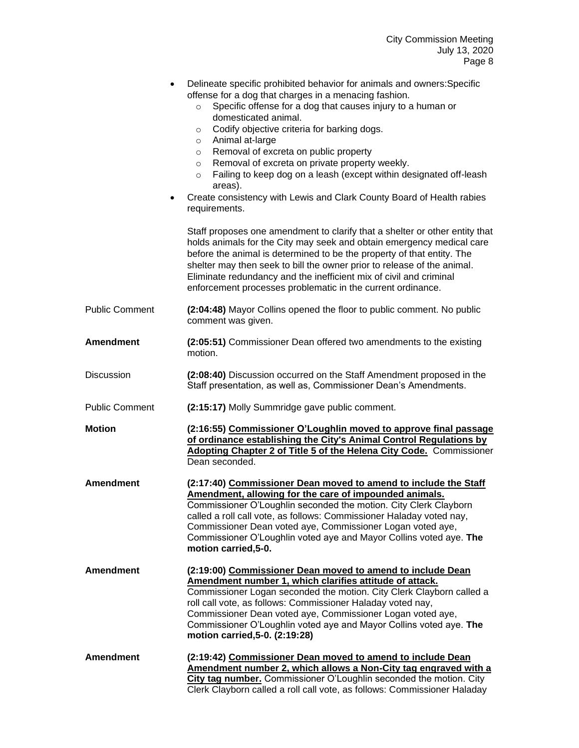| $\bullet$             | Delineate specific prohibited behavior for animals and owners: Specific<br>offense for a dog that charges in a menacing fashion.<br>Specific offense for a dog that causes injury to a human or<br>$\circ$<br>domesticated animal.<br>Codify objective criteria for barking dogs.<br>$\circ$<br>Animal at-large<br>$\circ$<br>Removal of excreta on public property<br>$\circ$<br>Removal of excreta on private property weekly.<br>$\circ$<br>Failing to keep dog on a leash (except within designated off-leash<br>$\circ$<br>areas).<br>Create consistency with Lewis and Clark County Board of Health rabies<br>requirements. |
|-----------------------|-----------------------------------------------------------------------------------------------------------------------------------------------------------------------------------------------------------------------------------------------------------------------------------------------------------------------------------------------------------------------------------------------------------------------------------------------------------------------------------------------------------------------------------------------------------------------------------------------------------------------------------|
|                       | Staff proposes one amendment to clarify that a shelter or other entity that<br>holds animals for the City may seek and obtain emergency medical care<br>before the animal is determined to be the property of that entity. The<br>shelter may then seek to bill the owner prior to release of the animal.<br>Eliminate redundancy and the inefficient mix of civil and criminal<br>enforcement processes problematic in the current ordinance.                                                                                                                                                                                    |
| <b>Public Comment</b> | (2:04:48) Mayor Collins opened the floor to public comment. No public<br>comment was given.                                                                                                                                                                                                                                                                                                                                                                                                                                                                                                                                       |
| <b>Amendment</b>      | (2:05:51) Commissioner Dean offered two amendments to the existing<br>motion.                                                                                                                                                                                                                                                                                                                                                                                                                                                                                                                                                     |
| Discussion            | (2:08:40) Discussion occurred on the Staff Amendment proposed in the<br>Staff presentation, as well as, Commissioner Dean's Amendments.                                                                                                                                                                                                                                                                                                                                                                                                                                                                                           |
| <b>Public Comment</b> | (2:15:17) Molly Summridge gave public comment.                                                                                                                                                                                                                                                                                                                                                                                                                                                                                                                                                                                    |
| <b>Motion</b>         | (2:16:55) Commissioner O'Loughlin moved to approve final passage<br>of ordinance establishing the City's Animal Control Regulations by<br>Adopting Chapter 2 of Title 5 of the Helena City Code. Commissioner<br>Dean seconded.                                                                                                                                                                                                                                                                                                                                                                                                   |
| <b>Amendment</b>      | (2:17:40) Commissioner Dean moved to amend to include the Staff<br>Amendment, allowing for the care of impounded animals.<br>Commissioner O'Loughlin seconded the motion. City Clerk Clayborn<br>called a roll call vote, as follows: Commissioner Haladay voted nay,<br>Commissioner Dean voted aye, Commissioner Logan voted aye,<br>Commissioner O'Loughlin voted aye and Mayor Collins voted aye. The<br>motion carried, 5-0.                                                                                                                                                                                                 |
| <b>Amendment</b>      | (2:19:00) Commissioner Dean moved to amend to include Dean<br>Amendment number 1, which clarifies attitude of attack.<br>Commissioner Logan seconded the motion. City Clerk Clayborn called a<br>roll call vote, as follows: Commissioner Haladay voted nay,<br>Commissioner Dean voted aye, Commissioner Logan voted aye,<br>Commissioner O'Loughlin voted aye and Mayor Collins voted aye. The<br>motion carried, 5-0. (2:19:28)                                                                                                                                                                                                |
| <b>Amendment</b>      | (2:19:42) Commissioner Dean moved to amend to include Dean<br>Amendment number 2, which allows a Non-City tag engraved with a<br>City tag number. Commissioner O'Loughlin seconded the motion. City<br>Clerk Clayborn called a roll call vote, as follows: Commissioner Haladay                                                                                                                                                                                                                                                                                                                                                   |